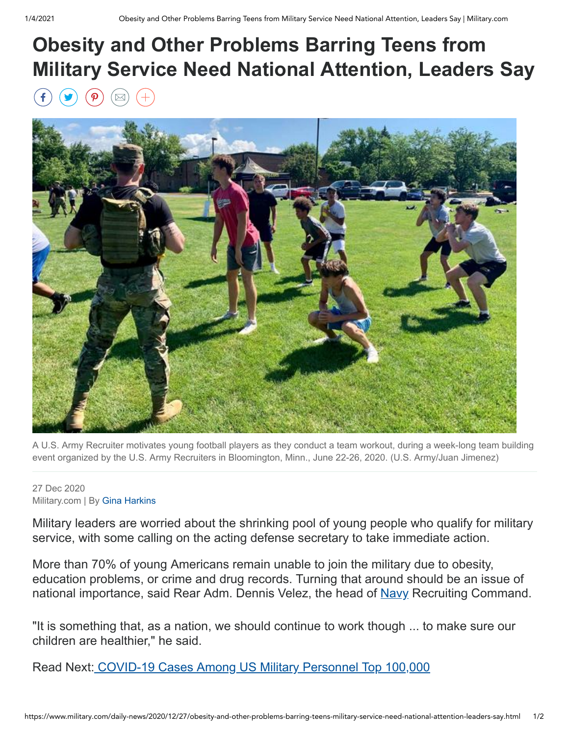## **Obesity and Other Problems Barring Teens from Military Service Need National Attention, Leaders Say**



A U.S. Army Recruiter motivates young football players as they conduct a team workout, during a week-long team building event organized by the U.S. Army Recruiters in Bloomington, Minn., June 22-26, 2020. (U.S. Army/Juan Jimenez)

## 27 Dec 2020 Military.com | By [Gina Harkins](https://www.military.com/author/gina-harkins)

Military leaders are worried about the shrinking pool of young people who qualify for military service, with some calling on the acting defense secretary to take immediate action.

More than 70% of young Americans remain unable to join the military due to obesity, education problems, or crime and drug records. Turning that around should be an issue of national importance, said Rear Adm. Dennis Velez, the head of [Navy](http://www.military.com/navy) Recruiting Command.

"It is something that, as a nation, we should continue to work though ... to make sure our children are healthier," he said.

Read Next: [COVID-19 Cases Among US Military Personnel Top 100,000](https://www.military.com/daily-news/2020/12/23/covid-19-cases-among-us-military-personnel-top-100000.html)